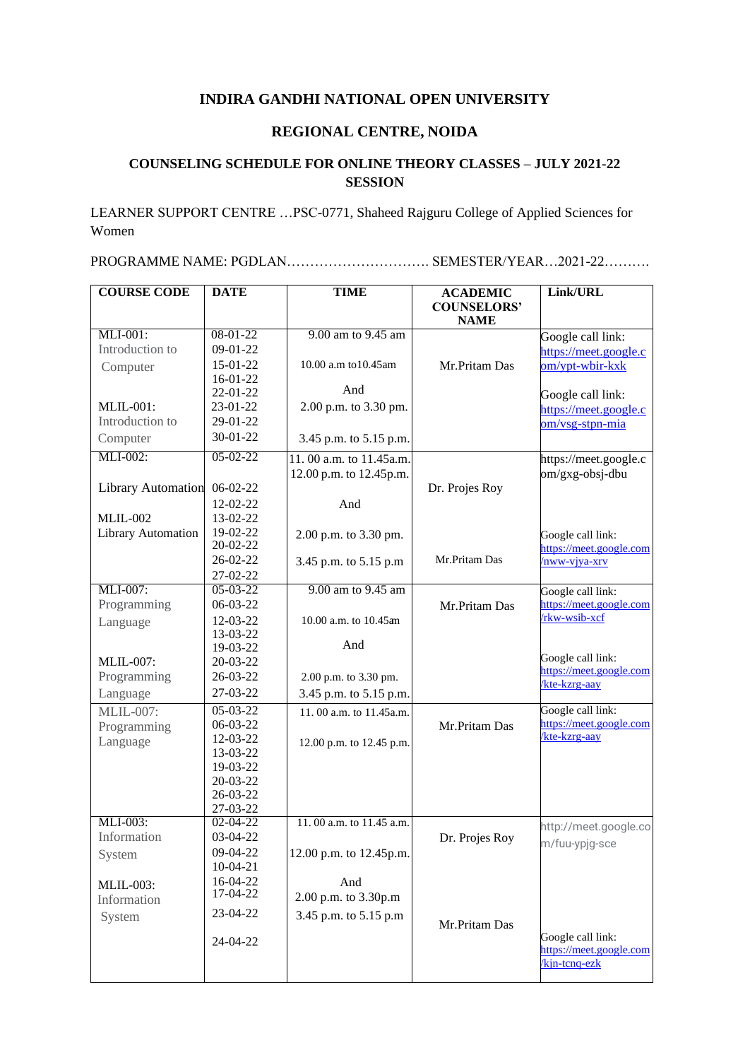## **INDIRA GANDHI NATIONAL OPEN UNIVERSITY**

## **REGIONAL CENTRE, NOIDA**

## **COUNSELING SCHEDULE FOR ONLINE THEORY CLASSES – JULY 2021-22 SESSION**

LEARNER SUPPORT CENTRE …PSC-0771, Shaheed Rajguru College of Applied Sciences for Women

PROGRAMME NAME: PGDLAN…………………………. SEMESTER/YEAR…2021-22……….

| <b>COURSE CODE</b>        | <b>DATE</b>          | <b>TIME</b>              | <b>ACADEMIC</b>                   | Link/URL                                     |
|---------------------------|----------------------|--------------------------|-----------------------------------|----------------------------------------------|
|                           |                      |                          | <b>COUNSELORS'</b><br><b>NAME</b> |                                              |
| MLI-001:                  | 08-01-22             | 9.00 am to 9.45 am       |                                   |                                              |
| Introduction to           | 09-01-22             |                          |                                   | Google call link:                            |
|                           | 15-01-22             | 10.00 a.m to 10.45am     |                                   | https://meet.google.c                        |
| Computer                  | 16-01-22             |                          | Mr.Pritam Das                     | om/ypt-wbir-kxk                              |
|                           | 22-01-22             | And                      |                                   |                                              |
| <b>MLIL-001:</b>          | 23-01-22             | 2.00 p.m. to 3.30 pm.    |                                   | Google call link:                            |
| Introduction to           | 29-01-22             |                          |                                   | https://meet.google.c                        |
| Computer                  | $30-01-22$           | 3.45 p.m. to 5.15 p.m.   |                                   | om/vsg-stpn-mia                              |
| MLI-002:                  | $05-02-22$           |                          |                                   |                                              |
|                           |                      | 11.00 a.m. to 11.45 a.m. |                                   | https://meet.google.c                        |
|                           |                      | 12.00 p.m. to 12.45p.m.  |                                   | om/gxg-obsj-dbu                              |
| <b>Library Automation</b> | $06-02-22$           |                          | Dr. Projes Roy                    |                                              |
|                           | 12-02-22             | And                      |                                   |                                              |
| $MLIL-002$                | 13-02-22             |                          |                                   |                                              |
| Library Automation        | 19-02-22<br>20-02-22 | 2.00 p.m. to 3.30 pm.    |                                   | Google call link:<br>https://meet.google.com |
|                           | 26-02-22             | 3.45 p.m. to 5.15 p.m    | Mr.Pritam Das                     | $/1$ ww-vjya-xrv                             |
|                           | 27-02-22             |                          |                                   |                                              |
| MLI-007:                  | $05-03-22$           | 9.00 am to 9.45 am       |                                   | Google call link:                            |
| Programming               | 06-03-22             |                          | Mr.Pritam Das                     | https://meet.google.com                      |
| Language                  | 12-03-22             | 10.00 a.m. to 10.45 am   |                                   | /rkw-wsib-xcf                                |
|                           | 13-03-22             |                          |                                   |                                              |
|                           | 19-03-22             | And                      |                                   |                                              |
| <b>MLIL-007:</b>          | 20-03-22             |                          |                                   | Google call link:                            |
| Programming               | 26-03-22             | 2.00 p.m. to 3.30 pm.    |                                   | https://meet.google.com<br>kte-kzrg-aay      |
| Language                  | 27-03-22             | 3.45 p.m. to 5.15 p.m.   |                                   |                                              |
| <b>MLIL-007:</b>          | 05-03-22             | 11.00 a.m. to 11.45a.m.  |                                   | Google call link:                            |
| Programming               | 06-03-22             |                          | Mr.Pritam Das                     | https://meet.google.com                      |
| Language                  | 12-03-22             | 12.00 p.m. to 12.45 p.m. |                                   | /kte-kzrg-aay                                |
|                           | 13-03-22             |                          |                                   |                                              |
|                           | 19-03-22             |                          |                                   |                                              |
|                           | 20-03-22             |                          |                                   |                                              |
|                           | 26-03-22             |                          |                                   |                                              |
|                           | 27-03-22             |                          |                                   |                                              |
| MLI-003:                  | $02 - 04 - 22$       | 11.00 a.m. to 11.45 a.m. |                                   | http://meet.google.co                        |
| Information               | 03-04-22             |                          | Dr. Projes Roy                    | m/fuu-ypjg-sce                               |
| System                    | 09-04-22             | 12.00 p.m. to 12.45p.m.  |                                   |                                              |
|                           | $10-04-21$           |                          |                                   |                                              |
| <b>MLIL-003:</b>          | 16-04-22<br>17-04-22 | And                      |                                   |                                              |
| Information               |                      | 2.00 p.m. to 3.30p.m     |                                   |                                              |
| System                    | 23-04-22             | 3.45 p.m. to 5.15 p.m    | Mr.Pritam Das                     |                                              |
|                           | 24-04-22             |                          |                                   | Google call link:                            |
|                           |                      |                          |                                   | https://meet.google.com                      |
|                           |                      |                          |                                   | kin-tenq-ezk                                 |
|                           |                      |                          |                                   |                                              |